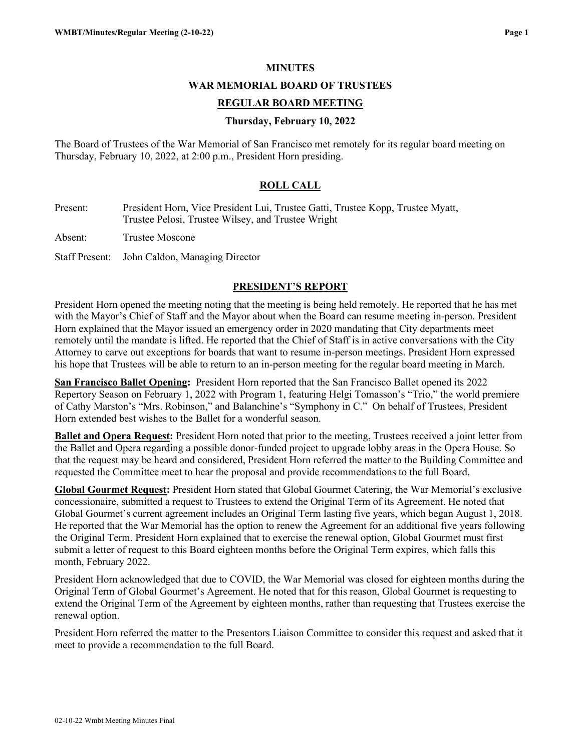### **MINUTES**

#### **WAR MEMORIAL BOARD OF TRUSTEES**

#### **REGULAR BOARD MEETING**

### **Thursday, February 10, 2022**

The Board of Trustees of the War Memorial of San Francisco met remotely for its regular board meeting on Thursday, February 10, 2022, at 2:00 p.m., President Horn presiding.

### **ROLL CALL**

Present: President Horn, Vice President Lui, Trustee Gatti, Trustee Kopp, Trustee Myatt, Trustee Pelosi, Trustee Wilsey, and Trustee Wright

Absent: Trustee Moscone

Staff Present: John Caldon, Managing Director

### **PRESIDENT'S REPORT**

President Horn opened the meeting noting that the meeting is being held remotely. He reported that he has met with the Mayor's Chief of Staff and the Mayor about when the Board can resume meeting in-person. President Horn explained that the Mayor issued an emergency order in 2020 mandating that City departments meet remotely until the mandate is lifted. He reported that the Chief of Staff is in active conversations with the City Attorney to carve out exceptions for boards that want to resume in-person meetings. President Horn expressed his hope that Trustees will be able to return to an in-person meeting for the regular board meeting in March.

**San Francisco Ballet Opening:** President Horn reported that the San Francisco Ballet opened its 2022 Repertory Season on February 1, 2022 with Program 1, featuring Helgi Tomasson's "Trio," the world premiere of Cathy Marston's "Mrs. Robinson," and Balanchine's "Symphony in C." On behalf of Trustees, President Horn extended best wishes to the Ballet for a wonderful season.

**Ballet and Opera Request:** President Horn noted that prior to the meeting, Trustees received a joint letter from the Ballet and Opera regarding a possible donor-funded project to upgrade lobby areas in the Opera House. So that the request may be heard and considered, President Horn referred the matter to the Building Committee and requested the Committee meet to hear the proposal and provide recommendations to the full Board.

**Global Gourmet Request:** President Horn stated that Global Gourmet Catering, the War Memorial's exclusive concessionaire, submitted a request to Trustees to extend the Original Term of its Agreement. He noted that Global Gourmet's current agreement includes an Original Term lasting five years, which began August 1, 2018. He reported that the War Memorial has the option to renew the Agreement for an additional five years following the Original Term. President Horn explained that to exercise the renewal option, Global Gourmet must first submit a letter of request to this Board eighteen months before the Original Term expires, which falls this month, February 2022.

President Horn acknowledged that due to COVID, the War Memorial was closed for eighteen months during the Original Term of Global Gourmet's Agreement. He noted that for this reason, Global Gourmet is requesting to extend the Original Term of the Agreement by eighteen months, rather than requesting that Trustees exercise the renewal option.

President Horn referred the matter to the Presentors Liaison Committee to consider this request and asked that it meet to provide a recommendation to the full Board.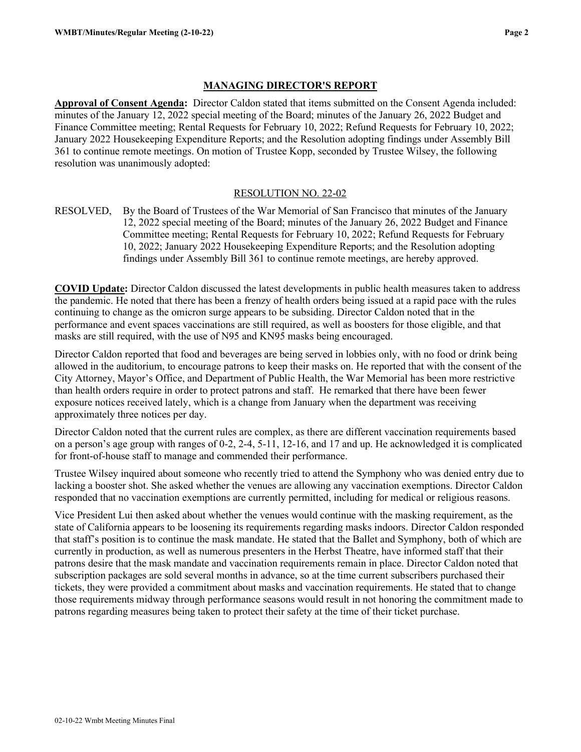## **MANAGING DIRECTOR'S REPORT**

**Approval of Consent Agenda:** Director Caldon stated that items submitted on the Consent Agenda included: minutes of the January 12, 2022 special meeting of the Board; minutes of the January 26, 2022 Budget and Finance Committee meeting; Rental Requests for February 10, 2022; Refund Requests for February 10, 2022; January 2022 Housekeeping Expenditure Reports; and the Resolution adopting findings under Assembly Bill 361 to continue remote meetings. On motion of Trustee Kopp, seconded by Trustee Wilsey, the following resolution was unanimously adopted:

## RESOLUTION NO. 22-02

RESOLVED, By the Board of Trustees of the War Memorial of San Francisco that minutes of the January 12, 2022 special meeting of the Board; minutes of the January 26, 2022 Budget and Finance Committee meeting; Rental Requests for February 10, 2022; Refund Requests for February 10, 2022; January 2022 Housekeeping Expenditure Reports; and the Resolution adopting findings under Assembly Bill 361 to continue remote meetings, are hereby approved.

**COVID Update:** Director Caldon discussed the latest developments in public health measures taken to address the pandemic. He noted that there has been a frenzy of health orders being issued at a rapid pace with the rules continuing to change as the omicron surge appears to be subsiding. Director Caldon noted that in the performance and event spaces vaccinations are still required, as well as boosters for those eligible, and that masks are still required, with the use of N95 and KN95 masks being encouraged.

Director Caldon reported that food and beverages are being served in lobbies only, with no food or drink being allowed in the auditorium, to encourage patrons to keep their masks on. He reported that with the consent of the City Attorney, Mayor's Office, and Department of Public Health, the War Memorial has been more restrictive than health orders require in order to protect patrons and staff. He remarked that there have been fewer exposure notices received lately, which is a change from January when the department was receiving approximately three notices per day.

Director Caldon noted that the current rules are complex, as there are different vaccination requirements based on a person's age group with ranges of 0-2, 2-4, 5-11, 12-16, and 17 and up. He acknowledged it is complicated for front-of-house staff to manage and commended their performance.

Trustee Wilsey inquired about someone who recently tried to attend the Symphony who was denied entry due to lacking a booster shot. She asked whether the venues are allowing any vaccination exemptions. Director Caldon responded that no vaccination exemptions are currently permitted, including for medical or religious reasons.

Vice President Lui then asked about whether the venues would continue with the masking requirement, as the state of California appears to be loosening its requirements regarding masks indoors. Director Caldon responded that staff's position is to continue the mask mandate. He stated that the Ballet and Symphony, both of which are currently in production, as well as numerous presenters in the Herbst Theatre, have informed staff that their patrons desire that the mask mandate and vaccination requirements remain in place. Director Caldon noted that subscription packages are sold several months in advance, so at the time current subscribers purchased their tickets, they were provided a commitment about masks and vaccination requirements. He stated that to change those requirements midway through performance seasons would result in not honoring the commitment made to patrons regarding measures being taken to protect their safety at the time of their ticket purchase.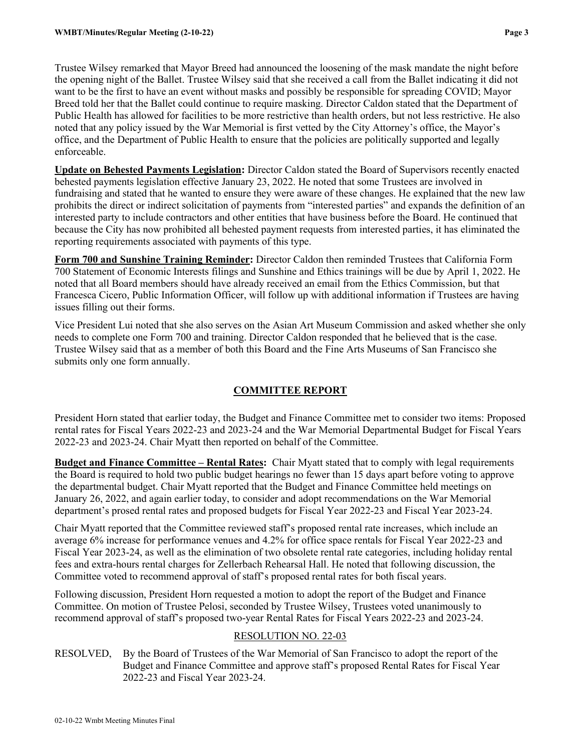Trustee Wilsey remarked that Mayor Breed had announced the loosening of the mask mandate the night before the opening night of the Ballet. Trustee Wilsey said that she received a call from the Ballet indicating it did not want to be the first to have an event without masks and possibly be responsible for spreading COVID; Mayor Breed told her that the Ballet could continue to require masking. Director Caldon stated that the Department of Public Health has allowed for facilities to be more restrictive than health orders, but not less restrictive. He also noted that any policy issued by the War Memorial is first vetted by the City Attorney's office, the Mayor's office, and the Department of Public Health to ensure that the policies are politically supported and legally enforceable.

**Update on Behested Payments Legislation:** Director Caldon stated the Board of Supervisors recently enacted behested payments legislation effective January 23, 2022. He noted that some Trustees are involved in fundraising and stated that he wanted to ensure they were aware of these changes. He explained that the new law prohibits the direct or indirect solicitation of payments from "interested parties" and expands the definition of an interested party to include contractors and other entities that have business before the Board. He continued that because the City has now prohibited all behested payment requests from interested parties, it has eliminated the reporting requirements associated with payments of this type.

**Form 700 and Sunshine Training Reminder:** Director Caldon then reminded Trustees that California Form 700 Statement of Economic Interests filings and Sunshine and Ethics trainings will be due by April 1, 2022. He noted that all Board members should have already received an email from the Ethics Commission, but that Francesca Cicero, Public Information Officer, will follow up with additional information if Trustees are having issues filling out their forms.

Vice President Lui noted that she also serves on the Asian Art Museum Commission and asked whether she only needs to complete one Form 700 and training. Director Caldon responded that he believed that is the case. Trustee Wilsey said that as a member of both this Board and the Fine Arts Museums of San Francisco she submits only one form annually.

# **COMMITTEE REPORT**

President Horn stated that earlier today, the Budget and Finance Committee met to consider two items: Proposed rental rates for Fiscal Years 2022-23 and 2023-24 and the War Memorial Departmental Budget for Fiscal Years 2022-23 and 2023-24. Chair Myatt then reported on behalf of the Committee.

**Budget and Finance Committee – Rental Rates:** Chair Myatt stated that to comply with legal requirements the Board is required to hold two public budget hearings no fewer than 15 days apart before voting to approve the departmental budget. Chair Myatt reported that the Budget and Finance Committee held meetings on January 26, 2022, and again earlier today, to consider and adopt recommendations on the War Memorial department's prosed rental rates and proposed budgets for Fiscal Year 2022-23 and Fiscal Year 2023-24.

Chair Myatt reported that the Committee reviewed staff's proposed rental rate increases, which include an average 6% increase for performance venues and 4.2% for office space rentals for Fiscal Year 2022-23 and Fiscal Year 2023-24, as well as the elimination of two obsolete rental rate categories, including holiday rental fees and extra-hours rental charges for Zellerbach Rehearsal Hall. He noted that following discussion, the Committee voted to recommend approval of staff's proposed rental rates for both fiscal years.

Following discussion, President Horn requested a motion to adopt the report of the Budget and Finance Committee. On motion of Trustee Pelosi, seconded by Trustee Wilsey, Trustees voted unanimously to recommend approval of staff's proposed two-year Rental Rates for Fiscal Years 2022-23 and 2023-24.

# RESOLUTION NO. 22-03

RESOLVED, By the Board of Trustees of the War Memorial of San Francisco to adopt the report of the Budget and Finance Committee and approve staff's proposed Rental Rates for Fiscal Year 2022-23 and Fiscal Year 2023-24.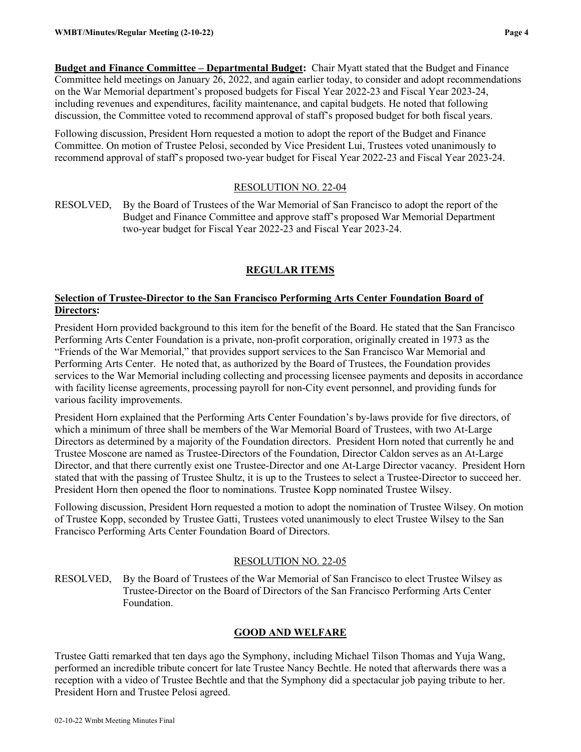**Budget and Finance Committee – Departmental Budget:** Chair Myatt stated that the Budget and Finance Committee held meetings on January 26, 2022, and again earlier today, to consider and adopt recommendations on the War Memorial department's proposed budgets for Fiscal Year 2022-23 and Fiscal Year 2023-24, including revenues and expenditures, facility maintenance, and capital budgets. He noted that following discussion, the Committee voted to recommend approval of staff's proposed budget for both fiscal years.

Following discussion, President Horn requested a motion to adopt the report of the Budget and Finance Committee. On motion of Trustee Pelosi, seconded by Vice President Lui, Trustees voted unanimously to recommend approval of staff's proposed two-year budget for Fiscal Year 2022-23 and Fiscal Year 2023-24.

## RESOLUTION NO. 22-04

RESOLVED, By the Board of Trustees of the War Memorial of San Francisco to adopt the report of the Budget and Finance Committee and approve staff's proposed War Memorial Department two-year budget for Fiscal Year 2022-23 and Fiscal Year 2023-24.

# **REGULAR ITEMS**

# **Selection of Trustee-Director to the San Francisco Performing Arts Center Foundation Board of Directors:**

President Horn provided background to this item for the benefit of the Board. He stated that the San Francisco Performing Arts Center Foundation is a private, non-profit corporation, originally created in 1973 as the "Friends of the War Memorial," that provides support services to the San Francisco War Memorial and Performing Arts Center. He noted that, as authorized by the Board of Trustees, the Foundation provides services to the War Memorial including collecting and processing licensee payments and deposits in accordance with facility license agreements, processing payroll for non-City event personnel, and providing funds for various facility improvements.

President Horn explained that the Performing Arts Center Foundation's by-laws provide for five directors, of which a minimum of three shall be members of the War Memorial Board of Trustees, with two At-Large Directors as determined by a majority of the Foundation directors. President Horn noted that currently he and Trustee Moscone are named as Trustee-Directors of the Foundation, Director Caldon serves as an At-Large Director, and that there currently exist one Trustee-Director and one At-Large Director vacancy. President Horn stated that with the passing of Trustee Shultz, it is up to the Trustees to select a Trustee-Director to succeed her. President Horn then opened the floor to nominations. Trustee Kopp nominated Trustee Wilsey.

Following discussion, President Horn requested a motion to adopt the nomination of Trustee Wilsey. On motion of Trustee Kopp, seconded by Trustee Gatti, Trustees voted unanimously to elect Trustee Wilsey to the San Francisco Performing Arts Center Foundation Board of Directors.

## RESOLUTION NO. 22-05

RESOLVED, By the Board of Trustees of the War Memorial of San Francisco to elect Trustee Wilsey as Trustee-Director on the Board of Directors of the San Francisco Performing Arts Center Foundation.

## **GOOD AND WELFARE**

Trustee Gatti remarked that ten days ago the Symphony, including Michael Tilson Thomas and Yuja Wang, performed an incredible tribute concert for late Trustee Nancy Bechtle. He noted that afterwards there was a reception with a video of Trustee Bechtle and that the Symphony did a spectacular job paying tribute to her. President Horn and Trustee Pelosi agreed.